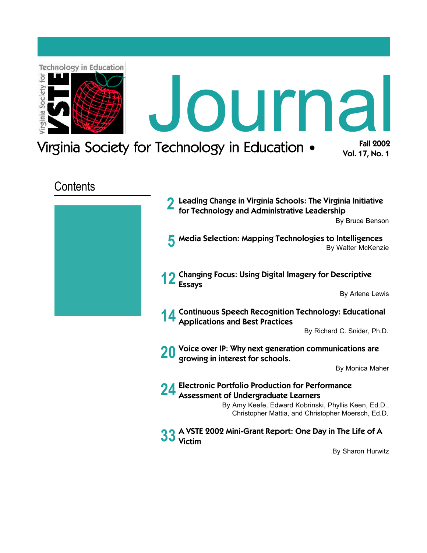<span id="page-0-0"></span>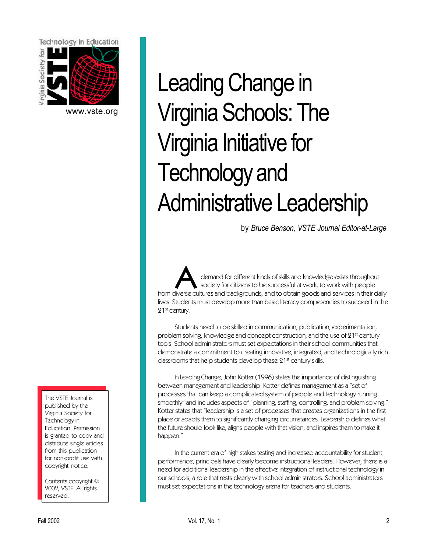<span id="page-1-0"></span>

[www.vste.org](http://www.vste.org)

The VSTE Journal is published by the Virginia Society for Technology in Education. Permission is granted to copy and distribute single articles from this publication for non-profit use with copyright notice.

Contents copyright © 2002, VSTE All rights reserved.

# Leading Change in Virginia Schools: The Virginia Initiative for Technology and Administrative Leadership

by *Bruce Benson, VSTE Journal Editor-at-Large*

demand for different kinds of skills and knowledge exists throughout<br>from diverse cultures and backgrounds, and to obtain goods and services in their daily demand for different kinds of skills and knowledge exists throughout society for citizens to be successful at work, to work with people lives. Students must develop more than basic literacy competencies to succeed in the 21st century.

Students need to be skilled in communication, publication, experimentation, problem solving, knowledge and concept construction, and the use of 21<sup>st</sup> century tools. School administrators must set expectations in their school communities that demonstrate a commitment to creating innovative, integrated, and technologically rich classrooms that help students develop these 21st century skills.

In Leading Change, John Kotter (1996) states the importance of distinguishing between management and leadership. Kotter defines management as a "set of processes that can keep a complicated system of people and technology running smoothly" and includes aspects of "planning, staffing, controlling, and problem solving." Kotter states that "leadership is a set of processes that creates organizations in the first place or adapts them to significantly changing circumstances. Leadership defines what the future should look like, aligns people with that vision, and inspires them to make it happen."

In the current era of high stakes testing and increased accountability for student performance, principals have clearly become instructional leaders. However, there is a need for additional leadership in the effective integration of instructional technology in our schools, a role that rests clearly with school administrators. School administrators must set expectations in the technology arena for teachers and students.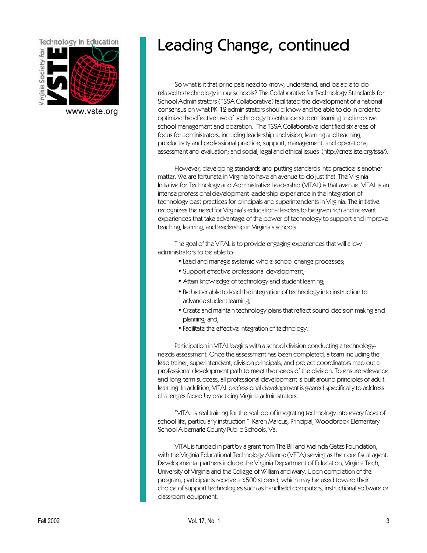

[www.vste.org](http://www.vste.org)

# Leading Change, continued

So what is it that principals need to know, understand, and be able to do related to technology in our schools? The Collaborative for Technology Standards for School Administrators (TSSA Collaborative) facilitated the development of a national consensus on what PK-12 administrators should know and be able to do in order to optimize the effective use of technology to enhance student learning and improve school management and operation. The TSSA Collaborative identified six areas of focus for administrators, including leadership and vision; learning and teaching; productivity and professional practice; support, management, and operations; assessment and evaluation; and social, legal and ethical issues [\(http://cnets.iste.org/tssa/\).](http://cnets.iste.org/tssa/)

However, developing standards and putting standards into practice is another matter. We are fortunate in Virginia to have an avenue to do just that. The Virginia Initiative for Technology and Administrative Leadership (VITAL) is that avenue. VITAL is an intense professional development leadership experience in the integration of technology best practices for principals and superintendents in Virginia. The initiative recognizes the need for Virginia's educational leaders to be given rich and relevant experiences that take advantage of the power of technology to support and improve teaching, learning, and leadership in Virginia's schools.

The goal of the VITAL is to provide engaging experiences that will allow administrators to be able to:

- Lead and manage systemic whole school change processes;
- Support effective professional development;
- Attain knowledge of technology and student learning;
- Be better able to lead the integration of technology into instruction to advance student learning;
- Create and maintain technology plans that reflect sound decision making and planning; and,
- Facilitate the effective integration of technology.

Participation in VITAL begins with a school division conducting a technologyneeds assessment. Once the assessment has been completed, a team including the lead trainer, superintendent, division principals, and project coordinators map out a professional development path to meet the needs of the division. To ensure relevance and long-term success, all professional development is built around principles of adult learning. In addition, VITAL professional development is geared specifically to address challenges faced by practicing Virginia administrators.

"VITAL is real training for the real job of integrating technology into every facet of school life, particularly instruction." Karen Marcus, Principal, Woodbrook Elementary School Albemarle County Public Schools, Va.

VITAL is funded in part by a grant from The Bill and Melinda Gates Foundation, with the Virginia Educational Technology Alliance (VETA) serving as the core fiscal agent. Developmental partners include the Virginia Department of Education, Virginia Tech, University of Virginia and the College of William and Mary. Upon completion of the program, participants receive a \$500 stipend, which may be used toward their choice of support technologies such as handheld computers, instructional software or classroom equipment.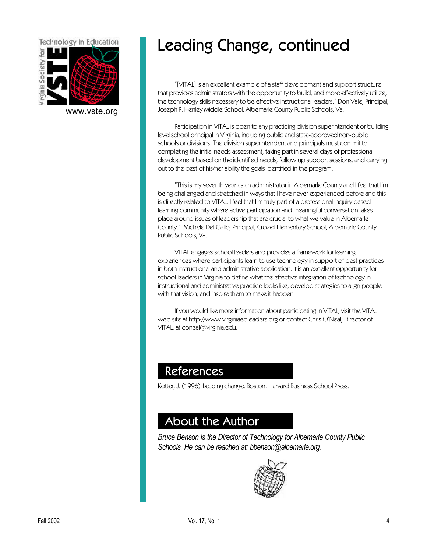

[www.vste.org](http://www.vste.org)

# Leading Change, continued

"[VITAL] is an excellent example of a staff development and support structure that provides administrators with the opportunity to build, and more effectively utilize, the technology skills necessary to be effective instructional leaders." Don Vale, Principal, Joseph P. Henley Middle School, Albemarle County Public Schools, Va.

Participation in VITAL is open to any practicing division superintendent or building level school principal in Virginia, including public and state-approved non-public schools or divisions. The division superintendent and principals must commit to completing the initial needs assessment, taking part in several days of professional development based on the identified needs, follow up support sessions, and carrying out to the best of his/her ability the goals identified in the program.

"This is my seventh year as an administrator in Albemarle County and I feel that I'm being challenged and stretched in ways that I have never experienced before and this is directly related to VITAL. I feel that I'm truly part of a professional inquiry based learning community where active participation and meaningful conversation takes place around issues of leadership that are crucial to what we value in Albemarle County." Michele Del Gallo, Principal, Crozet Elementary School, Albemarle County Public Schools, Va.

VITAL engages school leaders and provides a framework for learning experiences where participants learn to use technology in support of best practices in both instructional and administrative application. It is an excellent opportunity for school leaders in Virginia to define what the effective integration of technology in instructional and administrative practice looks like, develop strategies to align people with that vision, and inspire them to make it happen.

If you would like more information about participating in VITAL, visit the VITAL web site at [http://www.virginiaedleaders.org o](http://www.virginiaedleaders.org)r contact Chris O'Neal, Director of VITAL, at coneal@virginia.edu.

## References

Kotter, J. (1996). Leading change. Boston: Harvard Business School Press.

## About the Author

*Bruce Benson is the Director of Technology for Albemarle County Public Schools. He can be reached at: bbenson@albemarle.org.*

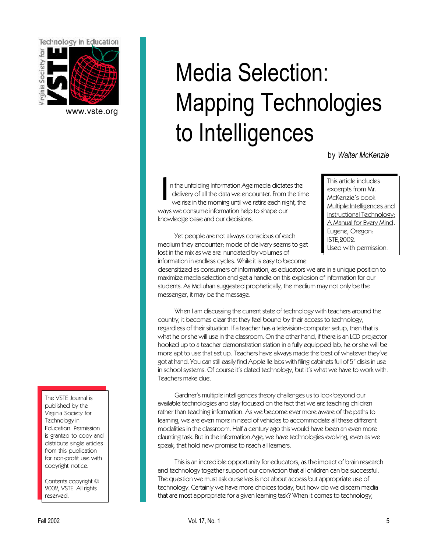<span id="page-4-0"></span>

[www.vste.org](http://www.vste.org)

# Media Selection: Mapping Technologies to Intelligences

by *Walter McKenzie*

I n the unfolding Information Age media dictates the delivery of all the data we encounter. From the time we rise in the morning until we retire each night, the ways we consume information help to shape our knowledge base and our decisions.

This article includes excerpts from Mr. McKenzie's book Multiple Intelligences and Instructional Technology: A Manual for Every Mind. Eugene, Oregon: ISTE,2002. Used with permission.

Yet people are not always conscious of each medium they encounter; mode of delivery seems to get lost in the mix as we are inundated by volumes of information in endless cycles. While it is easy to become

desensitized as consumers of information, as educators we are in a unique position to maximize media selection and get a handle on this explosion of information for our students. As McLuhan suggested prophetically, the medium may not only be the messenger, it may be the message.

When I am discussing the current state of technology with teachers around the country, it becomes clear that they feel bound by their access to technology, regardless of their situation. If a teacher has a television-computer setup, then that is what he or she will use in the classroom. On the other hand, if there is an LCD projector hooked up to a teacher demonstration station in a fully equipped lab, he or she will be more apt to use that set up. Teachers have always made the best of whatever they've got at hand. You can still easily find Apple IIe labs with filing cabinets full of 5" disks in use in school systems. Of course it's dated technology, but it's what we have to work with. Teachers make due.

Gardner's multiple intelligences theory challenges us to look beyond our available technologies and stay focused on the fact that we are teaching children rather than teaching information. As we become ever more aware of the paths to learning, we are even more in need of vehicles to accommodate all these different modalities in the classroom. Half a century ago this would have been an even more daunting task. But in the Information Age, we have technologies evolving, even as we speak, that hold new promise to reach all learners.

This is an incredible opportunity for educators, as the impact of brain research and technology together support our conviction that all children can be successful. The question we must ask ourselves is not about access but appropriate use of technology. Certainly we have more choices today, but how do we discern media that are most appropriate for a given learning task? When it comes to technology,

The VSTE Journal is published by the Virginia Society for Technology in Education. Permission is granted to copy and distribute single articles from this publication for non-profit use with copyright notice.

Contents copyright © 2002, VSTE All rights reserved.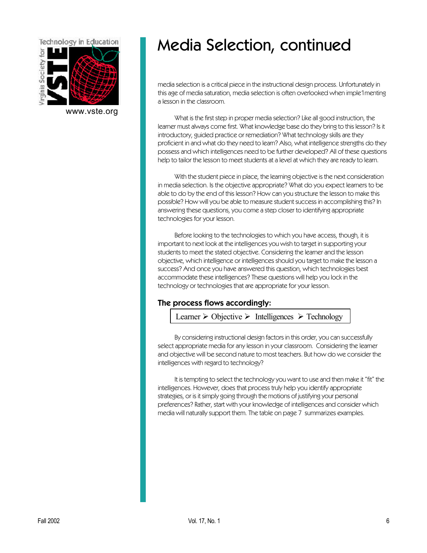

[www.vste.org](http://www.vste.org)

# Media Selection, continued

media selection is a critical piece in the instructional design process. Unfortunately in this age of media saturation, media selection is often overlooked when imple1menting a lesson in the classroom.

What is the first step in proper media selection? Like all good instruction, the learner must always come first. What knowledge base do they bring to this lesson? Is it introductory, guided practice or remediation? What technology skills are they proficient in and what do they need to learn? Also, what intelligence strengths do they possess and which intelligences need to be further developed? All of these questions help to tailor the lesson to meet students at a level at which they are ready to learn.

With the student piece in place, the learning objective is the next consideration in media selection. Is the objective appropriate? What do you expect learners to be able to do by the end of this lesson? How can you structure the lesson to make this possible? How will you be able to measure student success in accomplishing this? In answering these questions, you come a step closer to identifying appropriate technologies for your lesson.

Before looking to the technologies to which you have access, though, it is important to next look at the intelligences you wish to target in supporting your students to meet the stated objective. Considering the learner and the lesson objective, which intelligence or intelligences should you target to make the lesson a success? And once you have answered this question, which technologies best accommodate these intelligences? These questions will help you lock in the technology or technologies that are appropriate for your lesson.

### The process flows accordingly:

Learner  $\triangleright$  Objective  $\triangleright$  Intelligences  $\triangleright$  Technology

By considering instructional design factors in this order, you can successfully select appropriate media for any lesson in your classroom. Considering the learner and objective will be second nature to most teachers. But how do we consider the intelligences with regard to technology?

It is tempting to select the technology you want to use and then make it "fit" the intelligences. However, does that process truly help you identify appropriate strategies, or is it simply going through the motions of justifying your personal preferences? Rather, start with your knowledge of intelligences and consider which media will naturally support them. The table on page 7 summarizes examples.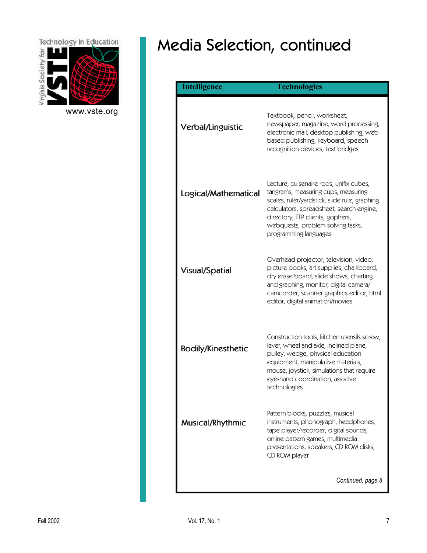

[www.vste.org](http://www.vste.org)

# Media Selection, continued

| <b>Intelligence</b>       | <b>Technologies</b>                                                                                                                                                                                                                                                           |
|---------------------------|-------------------------------------------------------------------------------------------------------------------------------------------------------------------------------------------------------------------------------------------------------------------------------|
| Verbal/Linguistic         | Textbook, pencil, worksheet,<br>newspaper, magazine, word processing,<br>electronic mail, desktop publishing, web-<br>based publishing, keyboard, speech<br>recognition devices, text bridges                                                                                 |
| Logical/Mathematical      | Lecture, cuisenaire rods, unifix cubes,<br>tangrams, measuring cups, measuring<br>scales, ruler/yardstick, slide rule, graphing<br>calculators, spreadsheet, search engine,<br>directory, FTP clients, gophers,<br>webquests, problem solving tasks,<br>programming languages |
| <b>Visual/Spatial</b>     | Overhead projector, television, video,<br>picture books, art supplies, chalkboard,<br>dry erase board, slide shows, charting<br>and graphing, monitor, digital camera/<br>camcorder, scanner graphics editor, html<br>editor, digital animation/movies                        |
| <b>Bodily/Kinesthetic</b> | Construction tools, kitchen utensils screw,<br>lever, wheel and axle, inclined plane,<br>pulley, wedge, physical education<br>equipment, manipulative materials,<br>mouse, joystick, simulations that require<br>eye-hand coordination, assistive<br>technologies             |
| Musical/Rhythmic          | Pattern blocks, puzzles, musical<br>instruments, phonograph, headphones,<br>tape player/recorder, digital sounds,<br>online pattern games, multimedia<br>presentations, speakers, CD ROM disks,<br>CD ROM player                                                              |
|                           | Continued, page 8                                                                                                                                                                                                                                                             |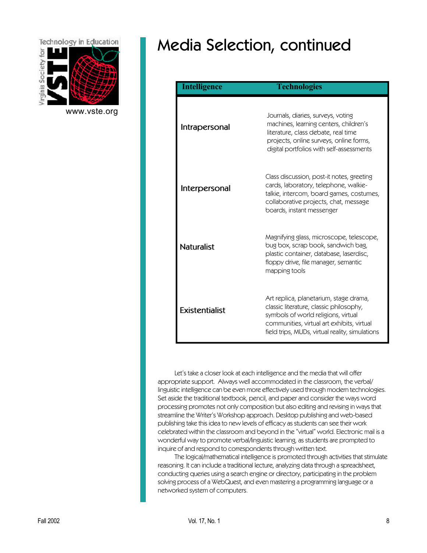

[www.vste.org](http://www.vste.org)

# Media Selection, continued

| <b>Intelligence</b>   | <b>Technologies</b>                                                                                                                                                                                                       |
|-----------------------|---------------------------------------------------------------------------------------------------------------------------------------------------------------------------------------------------------------------------|
| Intrapersonal         | Journals, diaries, surveys, voting<br>machines, learning centers, children's<br>literature, class debate, real time<br>projects, online surveys, online forms,<br>digital portfolios with self-assessments                |
| Interpersonal         | Class discussion, post-it notes, greeting<br>cards, laboratory, telephone, walkie-<br>talkie, intercom, board games, costumes,<br>collaborative projects, chat, message<br>boards, instant messenger                      |
| <b>Naturalist</b>     | Magnifying glass, microscope, telescope,<br>bug box, scrap book, sandwich bag,<br>plastic container, database, laserdisc,<br>floppy drive, file manager, semantic<br>mapping tools                                        |
| <b>Existentialist</b> | Art replica, planetarium, stage drama,<br>classic literature, classic philosophy,<br>symbols of world religions, virtual<br>communities, virtual art exhibits, virtual<br>field trips, MUDs, virtual reality, simulations |

Let's take a closer look at each intelligence and the media that will offer appropriate support. Always well accommodated in the classroom, the verbal/ linguistic intelligence can be even more effectively used through modern technologies. Set aside the traditional textbook, pencil, and paper and consider the ways word processing promotes not only composition but also editing and revising in ways that streamline the Writer's Workshop approach. Desktop publishing and web-based publishing take this idea to new levels of efficacy as students can see their work celebrated within the classroom and beyond in the "virtual" world. Electronic mail is a wonderful way to promote verbal/linguistic learning, as students are prompted to inquire of and respond to correspondents through written text.

The logical/mathematical intelligence is promoted through activities that stimulate reasoning. It can include a traditional lecture, analyzing data through a spreadsheet, conducting queries using a search engine or directory, participating in the problem solving process of a WebQuest, and even mastering a programming language or a networked system of computers.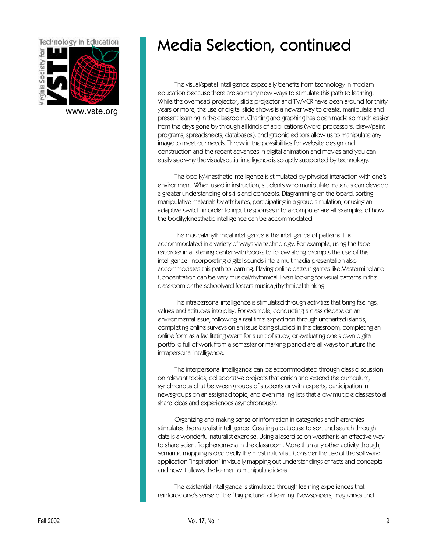

[www.vste.org](http://www.vste.org)

# Media Selection, continued

The visual/spatial intelligence especially benefits from technology in modern education because there are so many new ways to stimulate this path to learning. While the overhead projector, slide projector and TV/VCR have been around for thirty years or more, the use of digital slide shows is a newer way to create, manipulate and present learning in the classroom. Charting and graphing has been made so much easier from the days gone by through all kinds of applications (word processors, draw/paint programs, spreadsheets, databases), and graphic editors allow us to manipulate any image to meet our needs. Throw in the possibilities for website design and construction and the recent advances in digital animation and movies and you can easily see why the visual/spatial intelligence is so aptly supported by technology.

The bodily/kinesthetic intelligence is stimulated by physical interaction with one's environment. When used in instruction, students who manipulate materials can develop a greater understanding of skills and concepts. Diagramming on the board, sorting manipulative materials by attributes, participating in a group simulation, or using an adaptive switch in order to input responses into a computer are all examples of how the bodily/kinesthetic intelligence can be accommodated.

The musical/rhythmical intelligence is the intelligence of patterns. It is accommodated in a variety of ways via technology. For example, using the tape recorder in a listening center with books to follow along prompts the use of this intelligence. Incorporating digital sounds into a multimedia presentation also accommodates this path to learning. Playing online pattern games like Mastermind and Concentration can be very musical/rhythmical. Even looking for visual patterns in the classroom or the schoolyard fosters musical/rhythmical thinking.

The intrapersonal intelligence is stimulated through activities that bring feelings, values and attitudes into play. For example, conducting a class debate on an environmental issue, following a real time expedition through uncharted islands, completing online surveys on an issue being studied in the classroom, completing an online form as a facilitating event for a unit of study, or evaluating one's own digital portfolio full of work from a semester or marking period are all ways to nurture the intrapersonal intelligence.

The interpersonal intelligence can be accommodated through class discussion on relevant topics, collaborative projects that enrich and extend the curriculum, synchronous chat between groups of students or with experts, participation in newsgroups on an assigned topic, and even mailing lists that allow multiple classes to all share ideas and experiences asynchronously.

Organizing and making sense of information in categories and hierarchies stimulates the naturalist intelligence. Creating a database to sort and search through data is a wonderful naturalist exercise. Using a laserdisc on weather is an effective way to share scientific phenomena in the classroom. More than any other activity though, semantic mapping is decidedly the most naturalist. Consider the use of the software application "Inspiration" in visually mapping out understandings of facts and concepts and how it allows the learner to manipulate ideas.

The existential intelligence is stimulated through learning experiences that reinforce one's sense of the "big picture" of learning. Newspapers, magazines and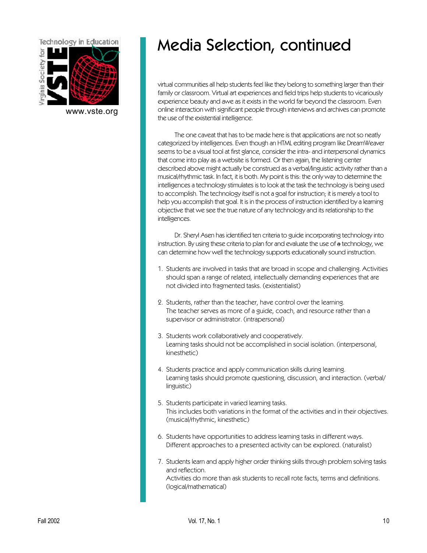

[www.vste.org](http://www.vste.org)

# Media Selection, continued

virtual communities all help students feel like they belong to something larger than their family or classroom. Virtual art experiences and field trips help students to vicariously experience beauty and awe as it exists in the world far beyond the classroom. Even online interaction with significant people through interviews and archives can promote the use of the existential intelligence.

The one caveat that has to be made here is that applications are not so neatly categorized by intelligences. Even though an HTML editing program like DreamWeaver seems to be a visual tool at first glance, consider the intra- and interpersonal dynamics that come into play as a website is formed. Or then again, the listening center described above might actually be construed as a verbal/linguistic activity rather than a musical/rhythmic task. In fact, it is both. My point is this: the only way to determine the intelligences a technology stimulates is to look at the task the technology is being used to accomplish. The technology itself is not a goal for instruction; it is merely a tool to help you accomplish that goal. It is in the process of instruction identified by a learning objective that we see the true nature of any technology and its relationship to the intelligences.

Dr. Sheryl Asen has identified ten criteria to guide incorporating technology into instruction. By using these criteria to plan for and evaluate the use of a technology, we can determine how well the technology supports educationally sound instruction.

- 1. Students are involved in tasks that are broad in scope and challenging. Activities should span a range of related, intellectually demanding experiences that are not divided into fragmented tasks. (existentialist)
- 2. Students, rather than the teacher, have control over the learning. The teacher serves as more of a guide, coach, and resource rather than a supervisor or administrator. (intrapersonal)
- 3. Students work collaboratively and cooperatively. Learning tasks should not be accomplished in social isolation. (interpersonal, kinesthetic)
- 4. Students practice and apply communication skills during learning. Learning tasks should promote questioning, discussion, and interaction. (verbal/ linguistic)
- 5. Students participate in varied learning tasks. This includes both variations in the format of the activities and in their objectives. (musical/rhythmic, kinesthetic)
- 6. Students have opportunities to address learning tasks in different ways. Different approaches to a presented activity can be explored. (naturalist)
- 7. Students learn and apply higher order thinking skills through problem solving tasks and reflection. Activities do more than ask students to recall rote facts, terms and definitions. (logical/mathematical)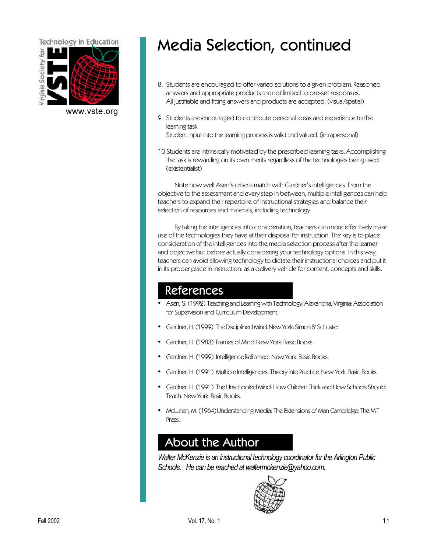

[www.vste.org](http://www.vste.org)

# Media Selection, continued

- 8. Students are encouraged to offer varied solutions to a given problem. Reasoned answers and appropriate products are not limited to pre-set responses. All justifiable and fitting answers and products are accepted. (visual/spatial)
- 9. Students are encouraged to contribute personal ideas and experience to the learning task. Student input into the learning process is valid and valued. (intrapersonal)
- 10.Students are intrinsically motivated by the prescribed learning tasks. Accomplishing the task is rewarding on its own merits regardless of the technologies being used. (existentialist)

Note how well Asen's criteria match with Gardner's intelligences. From the objective to the assessment and every step in between, multiple intelligences can help teachers to expand their repertoire of instructional strategies and balance their selection of resources and materials, including technology.

By taking the intelligences into consideration, teachers can more effectively make use of the technologies they have at their disposal for instruction. The key is to place consideration of the intelligences into the media selection process after the learner and objective but before actually considering your technology options. In this way, teachers can avoid allowing technology to dictate their instructional choices and put it in its proper place in instruction: as a delivery vehicle for content, concepts and skills.

## References

- Asen, S. (1992). Teaching and Learning with Technology. Alexandria, Virginia: Association for Supervision and Curriculum Development.
- Gardner, H. (1999). The Disciplined Mind. New York: Simon & Schuster.
- Gardner, H. (1983). Frames of Mind. New York: Basic Books.
- Gardner, H. (1999). Intelligence Reframed. New York: Basic Books.
- Gardner, H. (1991). Multiple Intelligences: Theory into Practice. New York: Basic Books.
- Gardner, H. (1991). The Unschooled Mind: How Children Think and How Schools Should Teach. New York: Basic Books.
- McLuhan, M. (1964) Understanding Media: The Extensions of Man Cambridge: The MIT Press.

## About the Author

*Walter McKenzie is an instructional technology coordinator for the Arlington Public Schools. He can be reached at waltermckenzie@yahoo.com.*

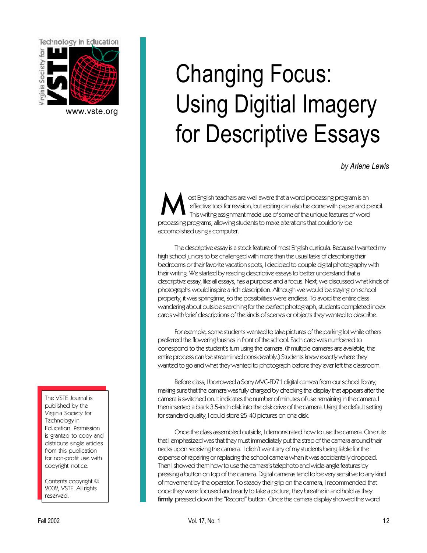<span id="page-11-0"></span>

[www.vste.org](http://www.vste.org)

# Using Digitial Imagery for Descriptive Essays

Changing Focus:

*by Arlene Lewis*

M ost English teachers are well aware that a word processing program is an effective tool for revision, but editing can also be done with paper and pencil. This writing assignment made use of some of the unique features of word processing programs, allowing students to make alterations that could only be accomplished using a computer.

The descriptive essay is a stock feature of most English curricula. Because I wanted my high school juniors to be challenged with more than the usual tasks of describing their bedrooms or their favorite vacation spots, I decided to couple digital photography with their writing. We started by reading descriptive essays to better understand that a descriptive essay, like all essays, has a purpose and a focus. Next, we discussed what kinds of photographs would inspire a rich description. Although we would be staying on school property, it was springtime, so the possibilities were endless. To avoid the entire class wandering about outside searching for the perfect photograph, students completed index cards with brief descriptions of the kinds of scenes or objects they wanted to describe.

For example, some students wanted to take pictures of the parking lot while others preferred the flowering bushes in front of the school. Each card was numbered to correspond to the student's turn using the camera. (If multiple cameras are available, the entire process can be streamlined considerably.) Students knew exactly where they wanted to go and what they wanted to photograph before they ever left the classroom.

Before class, I borrowed a Sony MVC-FD71 digital camera from our school library, making sure that the camera was fully charged by checking the display that appears after the camera is switched on. It indicates the number of minutes of use remaining in the camera. I then inserted a blank 3.5-inch disk into the disk drive of the camera. Using the default setting for standard quality, I could store 25-40 pictures on one disk.

Once the class assembled outside, I demonstrated how to use the camera. One rule that I emphasized was that they must immediately put the strap of the camera around their necks upon receiving the camera. I didn't want any of my students being liable for the expense of repairing or replacing the school camera when it was accidentally dropped. Then I showed them how to use the camera's telephoto and wide-angle features by pressing a button on top of the camera. Digital cameras tend to be very sensitive to any kind of movement by the operator. To steady their grip on the camera, I recommended that once they were focused and ready to take a picture, they breathe in and hold as they **firmly** pressed down the "Record" button. Once the camera display showed the word

The VSTE Journal is published by the Virginia Society for Technology in Education. Permission is granted to copy and distribute single articles from this publication for non-profit use with copyright notice.

Contents copyright © 2002, VSTE All rights reserved.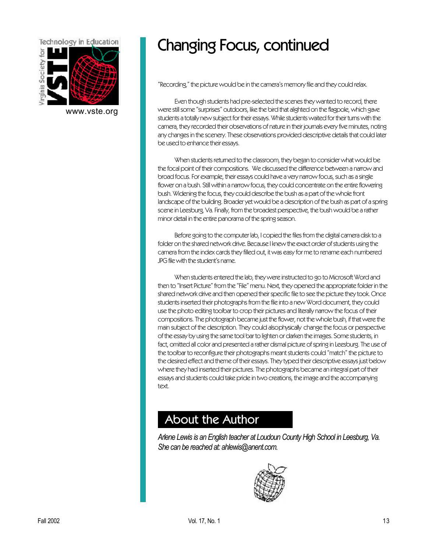

[www.vste.org](http://www.vste.org)

## Changing Focus, continued

"Recording," the picture would be in the camera's memory file and they could relax.

Even though students had pre-selected the scenes they wanted to record, there were still some "surprises" outdoors, like the bird that alighted on the flagpole, which gave students a totally new subject for their essays. While students waited for their turns with the camera, they recorded their observations of nature in their journals every five minutes, noting any changes in the scenery. These observations provided descriptive details that could later be used to enhance their essays.

When students returned to the classroom, they began to consider what would be the focal point of their compositions. We discussed the difference between a narrow and broad focus. For example, their essays could have a very narrow focus, such as a single flower on a bush. Still within a narrow focus, they could concentrate on the entire flowering bush. Widening the focus, they could describe the bush as a part of the whole front landscape of the building. Broader yet would be a description of the bush as part of a spring scene in Leesburg, Va. Finally, from the broadest perspective, the bush would be a rather minor detail in the entire panorama of the spring season.

Before going to the computer lab, I copied the files from the digital camera disk to a folder on the shared network drive. Because I knew the exact order of students using the camera from the index cards they filled out, it was easy for me to rename each numbered JPG file with the student's name.

When students entered the lab, they were instructed to go to Microsoft Word and then to "Insert Picture" from the "File" menu. Next, they opened the appropriate folder in the shared network drive and then opened their specific file to see the picture they took. Once students inserted their photographs from the file into a new Word document, they could use the photo editing toolbar to crop their pictures and literally narrow the focus of their compositions. The photograph became just the flower, not the whole bush, if that were the main subject of the description. They could also physically change the focus or perspective of the essay by using the same tool bar to lighten or darken the images. Some students, in fact, omitted all color and presented a rather dismal picture of spring in Leesburg. The use of the toolbar to reconfigure their photographs meant students could "match" the picture to the desired effect and theme of their essays. They typed their descriptive essays just below where they had inserted their pictures. The photographs became an integral part of their essays and students could take pride in two creations, the image and the accompanying text.

## About the Author

*Arlene Lewis is an English teacher at Loudoun County High School in Leesburg, Va. She can be reached at: ahlewis@anent.com.*

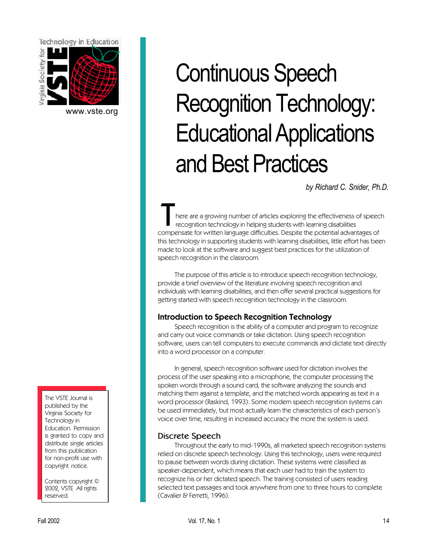<span id="page-13-0"></span>

[www.vste.org](http://www.vste.org)

The VSTE Journal is published by the Virginia Society for Technology in Education. Permission is granted to copy and distribute single articles from this publication for non-profit use with copyright notice.

Contents copyright © 2002, VSTE All rights reserved.

# Continuous Speech Recognition Technology: Educational Applications and Best Practices

*by Richard C. Snider, Ph.D.*

T here are a growing number of articles exploring the effectiveness of speech recognition technology in helping students with learning disabilities compensate for written language difficulties. Despite the potential advantages of this technology in supporting students with learning disabilities, little effort has been made to look at the software and suggest best practices for the utilization of speech recognition in the classroom.

The purpose of this article is to introduce speech recognition technology, provide a brief overview of the literature involving speech recognition and individuals with learning disabilities, and then offer several practical suggestions for getting started with speech recognition technology in the classroom.

### Introduction to Speech Recognition Technology

Speech recognition is the ability of a computer and program to recognize and carry out voice commands or take dictation. Using speech recognition software, users can tell computers to execute commands and dictate text directly into a word processor on a computer.

In general, speech recognition software used for dictation involves the process of the user speaking into a microphone, the computer processing the spoken words through a sound card, the software analyzing the sounds and matching them against a template, and the matched words appearing as text in a word processor (Raskind, 1993). Some modern speech recognition systems can be used immediately, but most actually learn the characteristics of each person's voice over time, resulting in increased accuracy the more the system is used.

### **Discrete Speech**

Throughout the early to mid-1990s, all marketed speech recognition systems relied on discrete speech technology. Using this technology, users were required to pause between words during dictation. These systems were classified as speaker-dependent, which means that each user had to train the system to recognize his or her dictated speech. The training consisted of users reading selected text passages and took anywhere from one to three hours to complete (Cavalier & Ferretti, 1996).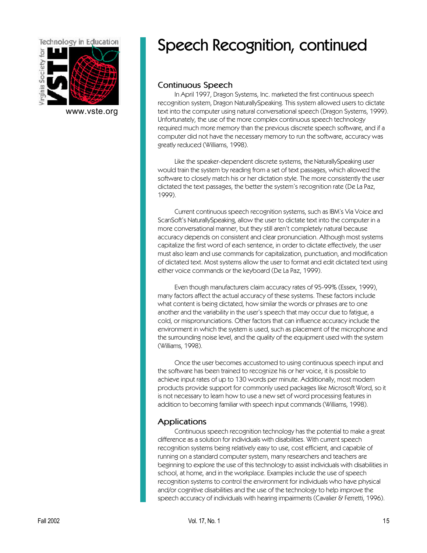

[www.vste.org](http://www.vste.org)

## Speech Recognition, continued

### **Continuous Speech**

In April 1997, Dragon Systems, Inc. marketed the first continuous speech recognition system, Dragon NaturallySpeaking. This system allowed users to dictate text into the computer using natural conversational speech (Dragon Systems, 1999). Unfortunately, the use of the more complex continuous speech technology required much more memory than the previous discrete speech software, and if a computer did not have the necessary memory to run the software, accuracy was greatly reduced (Williams, 1998).

Like the speaker-dependent discrete systems, the NaturallySpeaking user would train the system by reading from a set of text passages, which allowed the software to closely match his or her dictation style. The more consistently the user dictated the text passages, the better the system's recognition rate (De La Paz, 1999).

Current continuous speech recognition systems, such as IBM's Via Voice and ScanSoft's NaturallySpeaking, allow the user to dictate text into the computer in a more conversational manner, but they still aren't completely natural because accuracy depends on consistent and clear pronunciation. Although most systems capitalize the first word of each sentence, in order to dictate effectively, the user must also learn and use commands for capitalization, punctuation, and modification of dictated text. Most systems allow the user to format and edit dictated text using either voice commands or the keyboard (De La Paz, 1999).

Even though manufacturers claim accuracy rates of 95-99% (Essex, 1999), many factors affect the actual accuracy of these systems. These factors include what content is being dictated, how similar the words or phrases are to one another and the variability in the user's speech that may occur due to fatigue, a cold, or mispronunciations. Other factors that can influence accuracy include the environment in which the system is used, such as placement of the microphone and the surrounding noise level, and the quality of the equipment used with the system (Williams, 1998).

Once the user becomes accustomed to using continuous speech input and the software has been trained to recognize his or her voice, it is possible to achieve input rates of up to 130 words per minute. Additionally, most modern products provide support for commonly used packages like Microsoft Word, so it is not necessary to learn how to use a new set of word processing features in addition to becoming familiar with speech input commands (Williams, 1998).

### **Applications**

Continuous speech recognition technology has the potential to make a great difference as a solution for individuals with disabilities. With current speech recognition systems being relatively easy to use, cost efficient, and capable of running on a standard computer system, many researchers and teachers are beginning to explore the use of this technology to assist individuals with disabilities in school, at home, and in the workplace. Examples include the use of speech recognition systems to control the environment for individuals who have physical and/or cognitive disabilities and the use of the technology to help improve the speech accuracy of individuals with hearing impairments (Cavalier & Ferretti, 1996).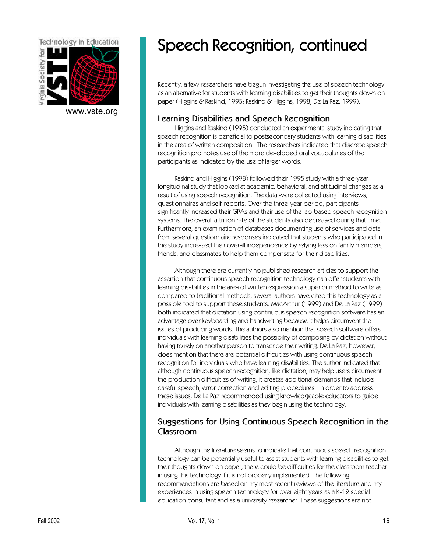

[www.vste.org](http://www.vste.org)

## Speech Recognition, continued

Recently, a few researchers have begun investigating the use of speech technology as an alternative for students with learning disabilities to get their thoughts down on paper (Higgins & Raskind, 1995; Raskind & Higgins, 1998; De La Paz, 1999).

#### **Learning Disabilities and Speech Recognition**

Higgins and Raskind (1995) conducted an experimental study indicating that speech recognition is beneficial to postsecondary students with learning disabilities in the area of written composition. The researchers indicated that discrete speech recognition promotes use of the more developed oral vocabularies of the participants as indicated by the use of larger words.

Raskind and Higgins (1998) followed their 1995 study with a three-year longitudinal study that looked at academic, behavioral, and attitudinal changes as a result of using speech recognition. The data were collected using interviews, questionnaires and self-reports. Over the three-year period, participants significantly increased their GPAs and their use of the lab-based speech recognition systems. The overall attrition rate of the students also decreased during that time. Furthermore, an examination of databases documenting use of services and data from several questionnaire responses indicated that students who participated in the study increased their overall independence by relying less on family members, friends, and classmates to help them compensate for their disabilities.

Although there are currently no published research articles to support the assertion that continuous speech recognition technology can offer students with learning disabilities in the area of written expression a superior method to write as compared to traditional methods, several authors have cited this technology as a possible tool to support these students. MacArthur (1999) and De La Paz (1999) both indicated that dictation using continuous speech recognition software has an advantage over keyboarding and handwriting because it helps circumvent the issues of producing words. The authors also mention that speech software offers individuals with learning disabilities the possibility of composing by dictation without having to rely on another person to transcribe their writing. De La Paz, however, does mention that there are potential difficulties with using continuous speech recognition for individuals who have learning disabilities. The author indicated that although continuous speech recognition, like dictation, may help users circumvent the production difficulties of writing, it creates additional demands that include careful speech, error correction and editing procedures. In order to address these issues, De La Paz recommended using knowledgeable educators to guide individuals with learning disabilities as they begin using the technology.

### **Suggestions for Using Continuous Speech Recognition in the Classroom**

Although the literature seems to indicate that continuous speech recognition technology can be potentially useful to assist students with learning disabilities to get their thoughts down on paper, there could be difficulties for the classroom teacher in using this technology if it is not properly implemented. The following recommendations are based on my most recent reviews of the literature and my experiences in using speech technology for over eight years as a K-12 special education consultant and as a university researcher. These suggestions are not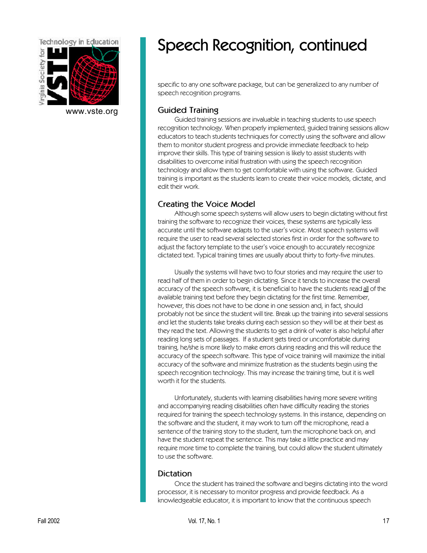

[www.vste.org](http://www.vste.org)

## Speech Recognition, continued

specific to any one software package, but can be generalized to any number of speech recognition programs.

#### **Guided Training**

Guided training sessions are invaluable in teaching students to use speech recognition technology. When properly implemented, guided training sessions allow educators to teach students techniques for correctly using the software and allow them to monitor student progress and provide immediate feedback to help improve their skills. This type of training session is likely to assist students with disabilities to overcome initial frustration with using the speech recognition technology and allow them to get comfortable with using the software. Guided training is important as the students learn to create their voice models, dictate, and edit their work.

#### **Creating the Voice Model**

Although some speech systems will allow users to begin dictating without first training the software to recognize their voices, these systems are typically less accurate until the software adapts to the user's voice. Most speech systems will require the user to read several selected stories first in order for the software to adjust the factory template to the user's voice enough to accurately recognize dictated text. Typical training times are usually about thirty to forty-five minutes.

Usually the systems will have two to four stories and may require the user to read half of them in order to begin dictating. Since it tends to increase the overall accuracy of the speech software, it is beneficial to have the students read all of the available training text before they begin dictating for the first time. Remember, however, this does not have to be done in one session and, in fact, should probably not be since the student will tire. Break up the training into several sessions and let the students take breaks during each session so they will be at their best as they read the text. Allowing the students to get a drink of water is also helpful after reading long sets of passages. If a student gets tired or uncomfortable during training, he/she is more likely to make errors during reading and this will reduce the accuracy of the speech software. This type of voice training will maximize the initial accuracy of the software and minimize frustration as the students begin using the speech recognition technology. This may increase the training time, but it is well worth it for the students.

Unfortunately, students with learning disabilities having more severe writing and accompanying reading disabilities often have difficulty reading the stories required for training the speech technology systems. In this instance, depending on the software and the student, it may work to turn off the microphone, read a sentence of the training story to the student, turn the microphone back on, and have the student repeat the sentence. This may take a little practice and may require more time to complete the training, but could allow the student ultimately to use the software.

#### **Dictation**

Once the student has trained the software and begins dictating into the word processor, it is necessary to monitor progress and provide feedback. As a knowledgeable educator, it is important to know that the continuous speech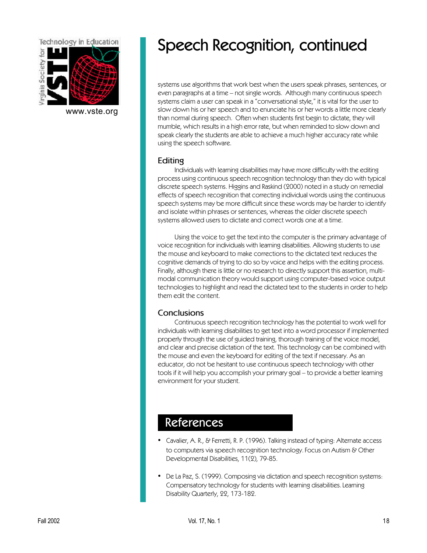

[www.vste.org](http://www.vste.org)

## Speech Recognition, continued

systems use algorithms that work best when the users speak phrases, sentences, or even paragraphs at a time – not single words. Although many continuous speech systems claim a user can speak in a "conversational style," it is vital for the user to slow down his or her speech and to enunciate his or her words a little more clearly than normal during speech. Often when students first begin to dictate, they will mumble, which results in a high error rate, but when reminded to slow down and speak clearly the students are able to achieve a much higher accuracy rate while using the speech software.

#### **Editing**

Individuals with learning disabilities may have more difficulty with the editing process using continuous speech recognition technology than they do with typical discrete speech systems. Higgins and Raskind (2000) noted in a study on remedial effects of speech recognition that correcting individual words using the continuous speech systems may be more difficult since these words may be harder to identify and isolate within phrases or sentences, whereas the older discrete speech systems allowed users to dictate and correct words one at a time.

Using the voice to get the text into the computer is the primary advantage of voice recognition for individuals with learning disabilities. Allowing students to use the mouse and keyboard to make corrections to the dictated text reduces the cognitive demands of trying to do so by voice and helps with the editing process. Finally, although there is little or no research to directly support this assertion, multimodal communication theory would support using computer-based voice output technologies to highlight and read the dictated text to the students in order to help them edit the content.

### **Conclusions**

Continuous speech recognition technology has the potential to work well for individuals with learning disabilities to get text into a word processor if implemented properly through the use of guided training, thorough training of the voice model, and clear and precise dictation of the text. This technology can be combined with the mouse and even the keyboard for editing of the text if necessary. As an educator, do not be hesitant to use continuous speech technology with other tools if it will help you accomplish your primary goal – to provide a better learning environment for your student.

## References

- Cavalier, A. R., & Ferretti, R. P. (1996). Talking instead of typing: Alternate access to computers via speech recognition technology. Focus on Autism & Other Developmental Disabilities, 11(2), 79-85.
- De La Paz, S. (1999). Composing via dictation and speech recognition systems: Compensatory technology for students with learning disabilities. Learning Disability Quarterly, 22, 173-182.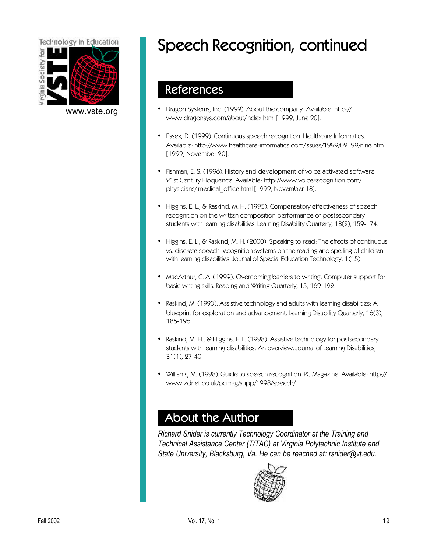

# Speech Recognition, continued

### References

- [www.vste.org](http://www.vste.org) [Dragon Systems, Inc. \(1999\). About the company. Available: http://](http://www.dragonsys.com/about/index.html) www.dragonsys.com/about/index.html [1999, June 20].
	- Essex, D. (1999). Continuous speech recognition. Healthcare Informatics. [Available: http://www.healthcare-informatics.com/issues/1999/02\\_99/nine.htm](http://www.healthcare-informatics.com/issues/1999/02_99/nine.htm) [1999, November 20].
	- [Fishman, E. S. \(1996\). History and development of voice activated software.](http://www.voicerecognition.com/physicians/ medical_office.html) 21st Century Eloquence. Available: http://www.voicerecognition.com/ physicians/ medical office.html [1999, November 18].
	- Higgins, E. L., & Raskind, M. H. (1995). Compensatory effectiveness of speech recognition on the written composition performance of postsecondary students with learning disabilities. Learning Disability Quarterly, 18(2), 159-174.
	- Higgins, E. L., & Raskind, M. H. (2000). Speaking to read: The effects of continuous vs. discrete speech recognition systems on the reading and spelling of children with learning disabilities. Journal of Special Education Technology, 1(15).
	- MacArthur, C. A. (1999). Overcoming barriers to writing: Computer support for basic writing skills. Reading and Writing Quarterly, 15, 169-192.
	- Raskind, M. (1993). Assistive technology and adults with learning disabilities: A blueprint for exploration and advancement. Learning Disability Quarterly, 16(3), 185-196.
	- Raskind, M. H., & Higgins, E. L. (1998). Assistive technology for postsecondary students with learning disabilities: An overview. Journal of Learning Disabilities, 31(1), 27-40.
	- [Williams, M. \(1998\). Guide to speech recognition. PC Magazine. Available: http://](http://www.zdnet.co.uk/pcmag/supp/1998/speech/) www.zdnet.co.uk/pcmag/supp/1998/speech/.

## About the Author

*Richard Snider is currently Technology Coordinator at the Training and Technical Assistance Center (T/TAC) at Virginia Polytechnic Institute and State University, Blacksburg, Va. He can be reached at: rsnider@vt.edu.*

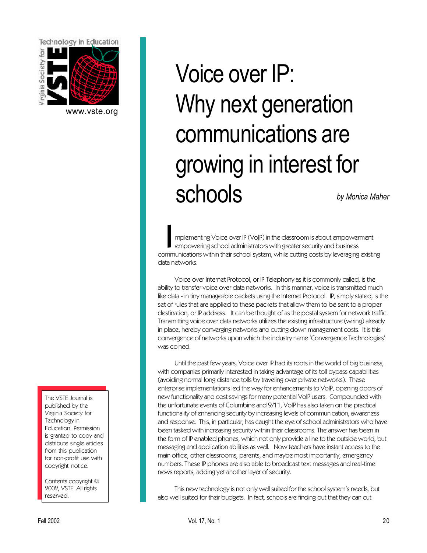<span id="page-19-0"></span>

[www.vste.org](http://www.vste.org)

# *by Monica Maher* Voice over IP: Why next generation communications are growing in interest for schools

Implementing Voice over IP (VoIP) in the classroom is about empowerment –<br>empowering school administrators with greater security and business<br>communications within their school system, while cutting costs by leveraging exi mplementing Voice over IP (VoIP) in the classroom is about empowerment – empowering school administrators with greater security and business data networks.

Voice over Internet Protocol, or IP Telephony as it is commonly called, is the ability to transfer voice over data networks. In this manner, voice is transmitted much like data - in tiny manageable packets using the Internet Protocol. IP, simply stated, is the set of rules that are applied to these packets that allow them to be sent to a proper destination, or IP address. It can be thought of as the postal system for network traffic. Transmitting voice over data networks utilizes the existing infrastructure (wiring) already in place, hereby converging networks and cutting down management costs. It is this convergence of networks upon which the industry name 'Convergence Technologies' was coined.

Until the past few years, Voice over IP had its roots in the world of big business, with companies primarily interested in taking advantage of its toll bypass capabilities (avoiding normal long distance tolls by traveling over private networks). These enterprise implementations led the way for enhancements to VoIP, opening doors of new functionality and cost savings for many potential VoIP users. Compounded with the unfortunate events of Columbine and 9/11, VoIP has also taken on the practical functionality of enhancing security by increasing levels of communication, awareness and response. This, in particular, has caught the eye of school administrators who have been tasked with increasing security within their classrooms. The answer has been in the form of IP enabled phones, which not only provide a line to the outside world, but messaging and application abilities as well. Now teachers have instant access to the main office, other classrooms, parents, and maybe most importantly, emergency numbers. These IP phones are also able to broadcast text messages and real-time news reports, adding yet another layer of security.

This new technology is not only well suited for the school system's needs, but also well suited for their budgets. In fact, schools are finding out that they can cut

The VSTE Journal is published by the Virginia Society for Technology in Education. Permission is granted to copy and distribute single articles from this publication for non-profit use with copyright notice.

Contents copyright © 2002, VSTE All rights reserved.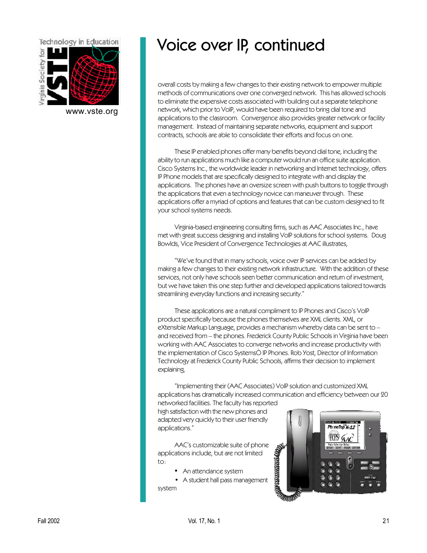

[www.vste.org](http://www.vste.org)

## Voice over IP, continued

overall costs by making a few changes to their existing network to empower multiple methods of communications over one converged network. This has allowed schools to eliminate the expensive costs associated with building out a separate telephone network, which prior to VoIP, would have been required to bring dial tone and applications to the classroom. Convergence also provides greater network or facility management. Instead of maintaining separate networks, equipment and support contracts, schools are able to consolidate their efforts and focus on one.

These IP enabled phones offer many benefits beyond dial tone, including the ability to run applications much like a computer would run an office suite application. Cisco Systems Inc., the worldwide leader in networking and Internet technology, offers IP Phone models that are specifically designed to integrate with and display the applications. The phones have an oversize screen with push buttons to toggle through the applications that even a technology novice can maneuver through. These applications offer a myriad of options and features that can be custom designed to fit your school systems needs.

Virginia-based engineering consulting firms, such as AAC Associates Inc., have met with great success designing and installing VoIP solutions for school systems. Doug Bowlds, Vice President of Convergence Technologies at AAC illustrates,

"We've found that in many schools, voice over IP services can be added by making a few changes to their existing network infrastructure. With the addition of these services, not only have schools seen better communication and return of investment, but we have taken this one step further and developed applications tailored towards streamlining everyday functions and increasing security."

These applications are a natural compliment to IP Phones and Cisco's VoIP product specifically because the phones themselves are XML clients. XML, or eXtensible Markup Language, provides a mechanism whereby data can be sent to – and received from – the phones. Frederick County Public Schools in Virginia have been working with AAC Associates to converge networks and increase productivity with the implementation of Cisco SystemsÒ IP Phones. Rob Yost, Director of Information Technology at Frederick County Public Schools, affirms their decision to implement explaining,

"Implementing their (AAC Associates) VoIP solution and customized XML applications has dramatically increased communication and efficiency between our 20

networked facilities. The faculty has reported high satisfaction with the new phones and adapted very quickly to their user friendly applications."

AAC's customizable suite of phone applications include, but are not limited to:

• An attendance system

• A student hall pass management system

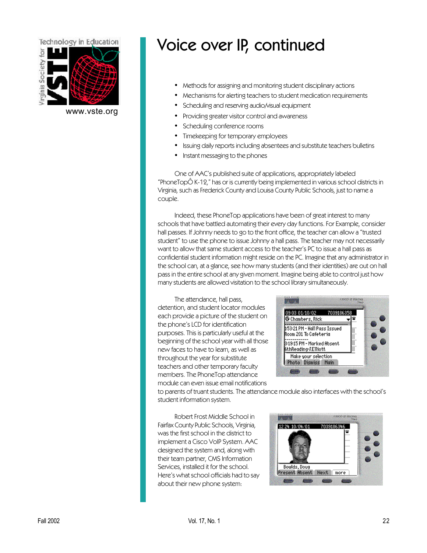

[www.vste.org](http://www.vste.org)

## Voice over IP, continued

- Methods for assigning and monitoring student disciplinary actions
- Mechanisms for alerting teachers to student medication requirements
- Scheduling and reserving audio/visual equipment
- Providing greater visitor control and awareness
- Scheduling conference rooms
- Timekeeping for temporary employees
- Issuing daily reports including absentees and substitute teachers bulletins
- Instant messaging to the phones

One of AAC's published suite of applications, appropriately labeled "PhoneTopÔ K-12," has or is currently being implemented in various school districts in Virginia, such as Frederick County and Louisa County Public Schools, just to name a couple.

Indeed, these PhoneTop applications have been of great interest to many schools that have battled automating their every day functions. For Example, consider hall passes. If Johnny needs to go to the front office, the teacher can allow a "trusted student" to use the phone to issue Johnny a hall pass. The teacher may not necessarily want to allow that same student access to the teacher's PC to issue a hall pass as confidential student information might reside on the PC. Imagine that any administrator in the school can, at a glance, see how many students (and their identities) are out on hall pass in the entire school at any given moment. Imagine being able to control just how many students are allowed visitation to the school library simultaneously.

The attendance, hall pass, detention, and student locator modules each provide a picture of the student on the phone's LCD for identification purposes. This is particularly useful at the beginning of the school year with all those new faces to have to learn, as well as throughout the year for substitute teachers and other temporary faculty members. The PhoneTop attendance module can even issue email notifications



to parents of truant students. The attendance module also interfaces with the school's student information system.

Robert Frost Middle School in Fairfax County Public Schools, Virginia, was the first school in the district to implement a Cisco VoIP System. AAC designed the system and, along with their team partner, CMS Information Services, installed it for the school. Here's what school officials had to say about their new phone system:

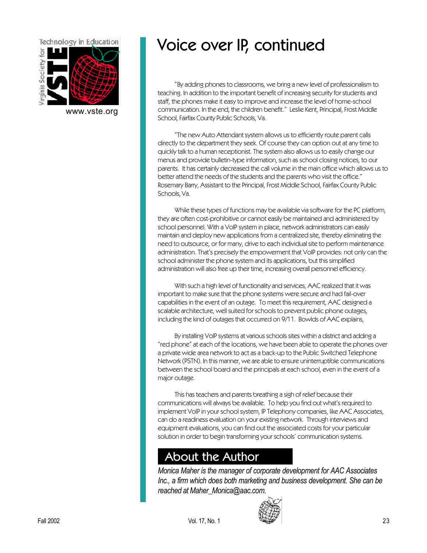

[www.vste.org](http://www.vste.org)

## Voice over IP, continued

"By adding phones to classrooms, we bring a new level of professionalism to teaching. In addition to the important benefit of increasing security for students and staff, the phones make it easy to improve and increase the level of home-school communication. In the end, the children benefit." Leslie Kent, Principal, Frost Middle School, Fairfax County Public Schools, Va.

"The new Auto Attendant system allows us to efficiently route parent calls directly to the department they seek. Of course they can option out at any time to quickly talk to a human receptionist. The system also allows us to easily change our menus and provide bulletin-type information, such as school closing notices, to our parents. It has certainly decreased the call volume in the main office which allows us to better attend the needs of the students and the parents who visit the office." Rosemary Barry, Assistant to the Principal, Frost Middle School, Fairfax County Public Schools, Va.

While these types of functions may be available via software for the PC platform, they are often cost-prohibitive or cannot easily be maintained and administered by school personnel. With a VoIP system in place, network administrators can easily maintain and deploy new applications from a centralized site, thereby eliminating the need to outsource, or for many, drive to each individual site to perform maintenance administration. That's precisely the empowerment that VoIP provides: not only can the school administer the phone system and its applications, but this simplified administration will also free up their time, increasing overall personnel efficiency.

With such a high level of functionality and services, AAC realized that it was important to make sure that the phone systems were secure and had fail-over capabilities in the event of an outage. To meet this requirement, AAC designed a scalable architecture, well suited for schools to prevent public phone outages, including the kind of outages that occurred on 9/11. Bowlds of AAC explains,

By installing VoIP systems at various schools sites within a district and adding a "red phone" at each of the locations, we have been able to operate the phones over a private wide area network to act as a back-up to the Public Switched Telephone Network (PSTN). In this manner, we are able to ensure uninterruptible communications between the school board and the principals at each school, even in the event of a major outage.

This has teachers and parents breathing a sigh of relief because their communications will always be available. To help you find out what's required to implement VoIP in your school system, IP Telephony companies, like AAC Associates, can do a readiness evaluation on your existing network. Through interviews and equipment evaluations, you can find out the associated costs for your particular solution in order to begin transforming your schools' communication systems.

## About the Author

*Monica Maher is the manager of corporate development for AAC Associates Inc., a firm which does both marketing and business development. She can be reached at Maher\_Monica@aac.com.*

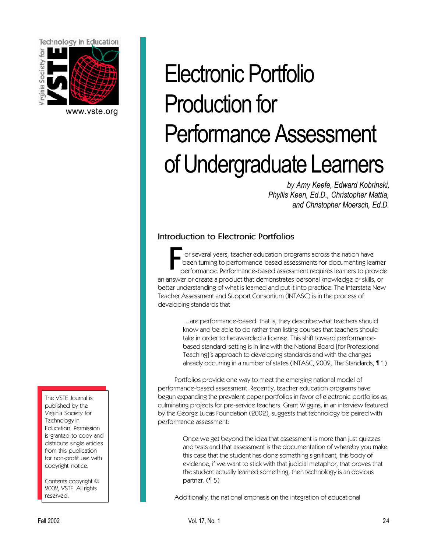<span id="page-23-0"></span>

[www.vste.org](http://www.vste.org)

# Electronic Portfolio Production for Performance Assessment of Undergraduate Learners

*by Amy Keefe, Edward Kobrinski, Phyllis Keen, Ed.D., Christopher Mattia, and Christopher Moersch, Ed.D.*

### **Introduction to Electronic Portfolios**

F<sub>r</sub> or several years, teacher education programs across the nation have been turning to performance-based assessments for documenting learner performance. Performance-based assessment requires learners to provide an answer or create a product that demonstrates personal knowledge or skills, or better understanding of what is learned and put it into practice. The Interstate New Teacher Assessment and Support Consortium (INTASC) is in the process of developing standards that

> …are performance-based: that is, they describe what teachers should know and be able to do rather than listing courses that teachers should take in order to be awarded a license. This shift toward performancebased standard-setting is in line with the National Board [for Professional Teaching]'s approach to developing standards and with the changes already occurring in a number of states (INTASC, 2002, The Standards, ¶ 1)

Portfolios provide one way to meet the emerging national model of performance-based assessment. Recently, teacher education programs have begun expanding the prevalent paper portfolios in favor of electronic portfolios as culminating projects for pre-service teachers. Grant Wiggins, in an interview featured by the George Lucas Foundation (2002), suggests that technology be paired with performance assessment:

> Once we get beyond the idea that assessment is more than just quizzes and tests and that assessment is the documentation of whereby you make this case that the student has done something significant, this body of evidence, if we want to stick with that judicial metaphor, that proves that the student actually learned something, then technology is an obvious partner. (¶ 5)

Additionally, the national emphasis on the integration of educational

The VSTE Journal is published by the Virginia Society for Technology in Education. Permission is granted to copy and distribute single articles from this publication for non-profit use with copyright notice.

Contents copyright © 2002, VSTE All rights reserved.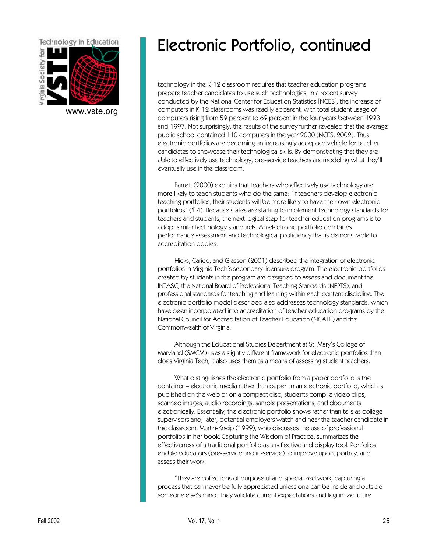

[www.vste.org](http://www.vste.org)

## Electronic Portfolio, continued

technology in the K-12 classroom requires that teacher education programs prepare teacher candidates to use such technologies. In a recent survey conducted by the National Center for Education Statistics [NCES], the increase of computers in K-12 classrooms was readily apparent, with total student usage of computers rising from 59 percent to 69 percent in the four years between 1993 and 1997. Not surprisingly, the results of the survey further revealed that the average public school contained 110 computers in the year 2000 (NCES, 2002). Thus electronic portfolios are becoming an increasingly accepted vehicle for teacher candidates to showcase their technological skills. By demonstrating that they are able to effectively use technology, pre-service teachers are modeling what they'll eventually use in the classroom.

Barrett (2000) explains that teachers who effectively use technology are more likely to teach students who do the same: "If teachers develop electronic teaching portfolios, their students will be more likely to have their own electronic portfolios" (¶ 4). Because states are starting to implement technology standards for teachers and students, the next logical step for teacher education programs is to adopt similar technology standards. An electronic portfolio combines performance assessment and technological proficiency that is demonstrable to accreditation bodies.

Hicks, Carico, and Glasson (2001) described the integration of electronic portfolios in Virginia Tech's secondary licensure program. The electronic portfolios created by students in the program are designed to assess and document the INTASC, the National Board of Professional Teaching Standards (NEPTS), and professional standards for teaching and learning within each content discipline. The electronic portfolio model described also addresses technology standards, which have been incorporated into accreditation of teacher education programs by the National Council for Accreditation of Teacher Education (NCATE) and the Commonwealth of Virginia.

Although the Educational Studies Department at St. Mary's College of Maryland (SMCM) uses a slightly different framework for electronic portfolios than does Virginia Tech, it also uses them as a means of assessing student teachers.

What distinguishes the electronic portfolio from a paper portfolio is the container – electronic media rather than paper. In an electronic portfolio, which is published on the web or on a compact disc, students compile video clips, scanned images, audio recordings, sample presentations, and documents electronically. Essentially, the electronic portfolio shows rather than tells as college supervisors and, later, potential employers watch and hear the teacher candidate in the classroom. Martin-Kneip (1999), who discusses the use of professional portfolios in her book, Capturing the Wisdom of Practice, summarizes the effectiveness of a traditional portfolio as a reflective and display tool. Portfolios enable educators (pre-service and in-service) to improve upon, portray, and assess their work.

"They are collections of purposeful and specialized work, capturing a process that can never be fully appreciated unless one can be inside and outside someone else's mind. They validate current expectations and legitimize future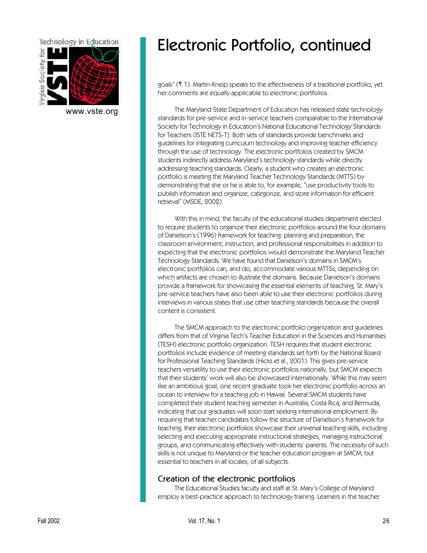

[www.vste.org](http://www.vste.org)

## Electronic Portfolio, continued

goals" (¶ 1). Martin-Kneip speaks to the effectiveness of a traditional portfolio, yet her comments are equally applicable to electronic portfolios.

The Maryland State Department of Education has released state technology standards for pre-service and in-service teachers comparable to the International Society for Technology in Education's National Educational Technology Standards for Teachers (ISTE NETS-T). Both sets of standards provide benchmarks and guidelines for integrating curriculum technology and improving teacher efficiency through the use of technology. The electronic portfolios created by SMCM students indirectly address Maryland's technology standards while directly addressing teaching standards. Clearly, a student who creates an electronic portfolio is meeting the Maryland Teacher Technology Standards (MTTS) by demonstrating that she or he is able to, for example, "use productivity tools to publish information and organize, categorize, and store information for efficient retrieval" (MSDE, 2002).

With this in mind, the faculty of the educational studies department elected to require students to organize their electronic portfolios around the four domains of Danielson's (1996) framework for teaching: planning and preparation, the classroom environment, instruction, and professional responsibilities in addition to expecting that the electronic portfolios would demonstrate the Maryland Teacher Technology Standards. We have found that Danielson's domains in SMCM's electronic portfolios can, and do, accommodate various MTTSs, depending on which artifacts are chosen to illustrate the domains. Because Danielson's domains provide a framework for showcasing the essential elements of teaching, St. Mary's pre-service teachers have also been able to use their electronic portfolios during interviews in various states that use other teaching standards because the overall content is consistent.

The SMCM approach to the electronic portfolio organization and guidelines differs from that of Virginia Tech's Teacher Education in the Sciences and Humanities (TESH) electronic portfolio organization. TESH requires that student electronic portfolios include evidence of meeting standards set forth by the National Board for Professional Teaching Standards (Hicks et al., 2001). This gives pre-service teachers versatility to use their electronic portfolios nationally, but SMCM expects that their students' work will also be showcased internationally. While this may seem like an ambitious goal, one recent graduate took her electronic portfolio across an ocean to interview for a teaching job in Hawaii. Several SMCM students have completed their student teaching semester in Australia, Costa Rica, and Bermuda, indicating that our graduates will soon start seeking international employment. By requiring that teacher candidates follow the structure of Danielson's framework for teaching, their electronic portfolios showcase their universal teaching skills, including selecting and executing appropriate instructional strategies, managing instructional groups, and communicating effectively with students' parents. The necessity of such skills is not unique to Maryland or the teacher education program at SMCM, but essential to teachers in all locales, of all subjects.

#### **Creation of the electronic portfolios**

The Educational Studies faculty and staff at St. Mary's College of Maryland employ a best-practice approach to technology training. Learners in the teacher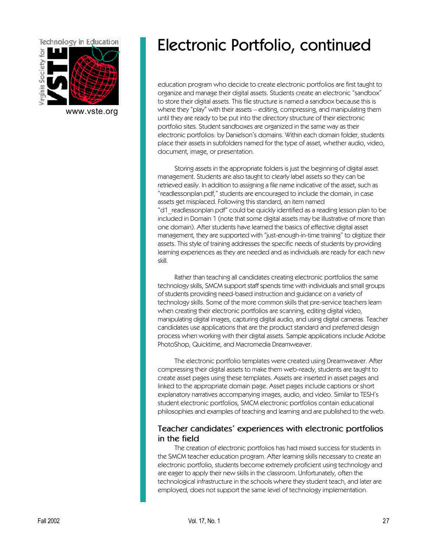

[www.vste.org](http://www.vste.org)

## Electronic Portfolio, continued

education program who decide to create electronic portfolios are first taught to organize and manage their digital assets. Students create an electronic "sandbox" to store their digital assets. This file structure is named a sandbox because this is where they "play" with their assets – editing, compressing, and manipulating them until they are ready to be put into the directory structure of their electronic portfolio sites. Student sandboxes are organized in the same way as their electronic portfolios: by Danielson's domains. Within each domain folder, students place their assets in subfolders named for the type of asset, whether audio, video, document, image, or presentation.

Storing assets in the appropriate folders is just the beginning of digital asset management. Students are also taught to clearly label assets so they can be retrieved easily. In addition to assigning a file name indicative of the asset, such as "readlessonplan.pdf," students are encouraged to include the domain, in case assets get misplaced. Following this standard, an item named "d1\_readlessonplan.pdf" could be quickly identified as a reading lesson plan to be included in Domain 1 (note that some digital assets may be illustrative of more than one domain). After students have learned the basics of effective digital asset management, they are supported with "just-enough-in-time training" to digitize their assets. This style of training addresses the specific needs of students by providing learning experiences as they are needed and as individuals are ready for each new skill.

Rather than teaching all candidates creating electronic portfolios the same technology skills, SMCM support staff spends time with individuals and small groups of students providing need-based instruction and guidance on a variety of technology skills. Some of the more common skills that pre-service teachers learn when creating their electronic portfolios are scanning, editing digital video, manipulating digital images, capturing digital audio, and using digital cameras. Teacher candidates use applications that are the product standard and preferred design process when working with their digital assets. Sample applications include Adobe PhotoShop, Quicktime, and Macromedia Dreamweaver.

The electronic portfolio templates were created using Dreamweaver. After compressing their digital assets to make them web-ready, students are taught to create asset pages using these templates. Assets are inserted in asset pages and linked to the appropriate domain page. Asset pages include captions or short explanatory narratives accompanying images, audio, and video. Similar to TESH's student electronic portfolios, SMCM electronic portfolios contain educational philosophies and examples of teaching and learning and are published to the web.

#### **Teacher candidates' experiences with electronic portfolios in the field**

The creation of electronic portfolios has had mixed success for students in the SMCM teacher education program. After learning skills necessary to create an electronic portfolio, students become extremely proficient using technology and are eager to apply their new skills in the classroom. Unfortunately, often the technological infrastructure in the schools where they student teach, and later are employed, does not support the same level of technology implementation.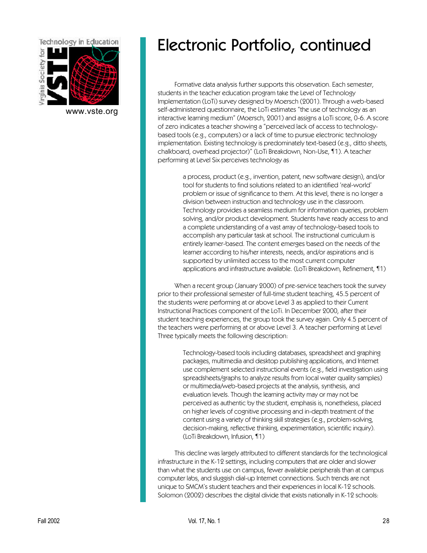

[www.vste.org](http://www.vste.org)

## Electronic Portfolio, continued

Formative data analysis further supports this observation. Each semester, students in the teacher education program take the Level of Technology Implementation (LoTi) survey designed by Moersch (2001). Through a web-based self-administered questionnaire, the LoTi estimates "the use of technology as an interactive learning medium" (Moersch, 2001) and assigns a LoTi score, 0-6. A score of zero indicates a teacher showing a "perceived lack of access to technologybased tools (e.g., computers) or a lack of time to pursue electronic technology implementation. Existing technology is predominately text-based (e.g., ditto sheets, chalkboard, overhead projector)" (LoTi Breakdown, Non-Use, ¶1). A teacher performing at Level Six perceives technology as

> a process, product (e.g., invention, patent, new software design), and/or tool for students to find solutions related to an identified 'real-world' problem or issue of significance to them. At this level, there is no longer a division between instruction and technology use in the classroom. Technology provides a seamless medium for information queries, problem solving, and/or product development. Students have ready access to and a complete understanding of a vast array of technology-based tools to accomplish any particular task at school. The instructional curriculum is entirely learner-based. The content emerges based on the needs of the learner according to his/her interests, needs, and/or aspirations and is supported by unlimited access to the most current computer applications and infrastructure available. (LoTi Breakdown, Refinement, ¶1)

When a recent group (January 2000) of pre-service teachers took the survey prior to their professional semester of full-time student teaching, 45.5 percent of the students were performing at or above Level 3 as applied to their Current Instructional Practices component of the LoTi. In December 2000, after their student teaching experiences, the group took the survey again. Only 4.5 percent of the teachers were performing at or above Level 3. A teacher performing at Level Three typically meets the following description:

> Technology-based tools including databases, spreadsheet and graphing packages, multimedia and desktop publishing applications, and Internet use complement selected instructional events (e.g., field investigation using spreadsheets/graphs to analyze results from local water quality samples) or multimedia/web-based projects at the analysis, synthesis, and evaluation levels. Though the learning activity may or may not be perceived as authentic by the student, emphasis is, nonetheless, placed on higher levels of cognitive processing and in-depth treatment of the content using a variety of thinking skill strategies (e.g., problem-solving, decision-making, reflective thinking, experimentation, scientific inquiry). (LoTi Breakdown, Infusion, ¶1)

This decline was largely attributed to different standards for the technological infrastructure in the K-12 settings, including computers that are older and slower than what the students use on campus, fewer available peripherals than at campus computer labs, and sluggish dial-up Internet connections. Such trends are not unique to SMCM's student teachers and their experiences in local K-12 schools. Solomon (2002) describes the digital divide that exists nationally in K-12 schools: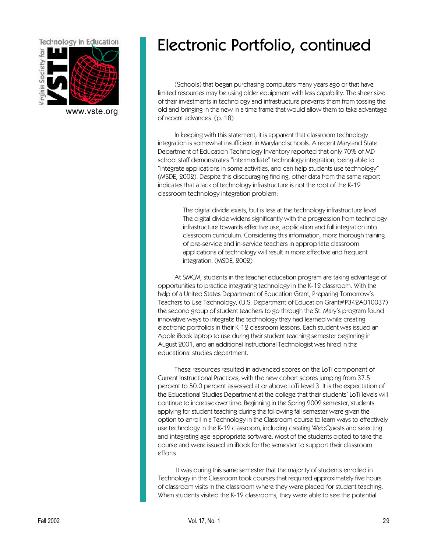

[www.vste.org](http://www.vste.org)

## Electronic Portfolio, continued

(Schools) that began purchasing computers many years ago or that have limited resources may be using older equipment with less capability. The sheer size of their investments in technology and infrastructure prevents them from tossing the old and bringing in the new in a time frame that would allow them to take advantage of recent advances. (p. 18)

In keeping with this statement, it is apparent that classroom technology integration is somewhat insufficient in Maryland schools. A recent Maryland State Department of Education Technology Inventory reported that only 70% of MD school staff demonstrates "intermediate" technology integration, being able to "integrate applications in some activities, and can help students use technology" (MSDE, 2002). Despite this discouraging finding, other data from the same report indicates that a lack of technology infrastructure is not the root of the K-12 classroom technology integration problem:

> The digital divide exists, but is less at the technology infrastructure level. The digital divide widens significantly with the progression from technology infrastructure towards effective use, application and full integration into classroom curriculum. Considering this information, more thorough training of pre-service and in-service teachers in appropriate classroom applications of technology will result in more effective and frequent integration. (MSDE, 2002)

At SMCM, students in the teacher education program are taking advantage of opportunities to practice integrating technology in the K-12 classroom. With the help of a United States Department of Education Grant, Preparing Tomorrow's Teachers to Use Technology, (U.S. Department of Education Grant#P342A010037) the second group of student teachers to go through the St. Mary's program found innovative ways to integrate the technology they had learned while creating electronic portfolios in their K-12 classroom lessons. Each student was issued an Apple iBook laptop to use during their student teaching semester beginning in August 2001, and an additional Instructional Technologist was hired in the educational studies department.

These resources resulted in advanced scores on the LoTi component of Current Instructional Practices, with the new cohort scores jumping from 37.5 percent to 50.0 percent assessed at or above LoTi level 3. It is the expectation of the Educational Studies Department at the college that their students' LoTi levels will continue to increase over time. Beginning in the Spring 2002 semester, students applying for student teaching during the following fall semester were given the option to enroll in a Technology in the Classroom course to learn ways to effectively use technology in the K-12 classroom, including creating WebQuests and selecting and integrating age-appropriate software. Most of the students opted to take the course and were issued an iBook for the semester to support their classroom efforts.

 It was during this same semester that the majority of students enrolled in Technology in the Classroom took courses that required approximately five hours of classroom visits in the classroom where they were placed for student teaching. When students visited the K-12 classrooms, they were able to see the potential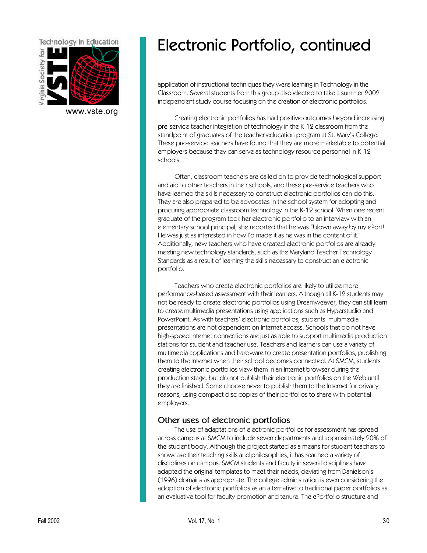

[www.vste.org](http://www.vste.org)

## Electronic Portfolio, continued

application of instructional techniques they were learning in Technology in the Classroom. Several students from this group also elected to take a summer 2002 independent study course focusing on the creation of electronic portfolios.

Creating electronic portfolios has had positive outcomes beyond increasing pre-service teacher integration of technology in the K-12 classroom from the standpoint of graduates of the teacher education program at St. Mary's College. These pre-service teachers have found that they are more marketable to potential employers because they can serve as technology resource personnel in K-12 schools.

Often, classroom teachers are called on to provide technological support and aid to other teachers in their schools, and these pre-service teachers who have learned the skills necessary to construct electronic portfolios can do this. They are also prepared to be advocates in the school system for adopting and procuring appropriate classroom technology in the K-12 school. When one recent graduate of the program took her electronic portfolio to an interview with an elementary school principal, she reported that he was "blown away by my ePort! He was just as interested in how I'd made it as he was in the content of it." Additionally, new teachers who have created electronic portfolios are already meeting new technology standards, such as the Maryland Teacher Technology Standards as a result of learning the skills necessary to construct an electronic portfolio.

Teachers who create electronic portfolios are likely to utilize more performance-based assessment with their learners. Although all K-12 students may not be ready to create electronic portfolios using Dreamweaver, they can still learn to create multimedia presentations using applications such as Hyperstudio and PowerPoint. As with teachers' electronic portfolios, students' multimedia presentations are not dependent on Internet access. Schools that do not have high-speed Internet connections are just as able to support multimedia production stations for student and teacher use. Teachers and learners can use a variety of multimedia applications and hardware to create presentation portfolios, publishing them to the Internet when their school becomes connected. At SMCM, students creating electronic portfolios view them in an Internet browser during the production stage, but do not publish their electronic portfolios on the Web until they are finished. Some choose never to publish them to the Internet for privacy reasons, using compact disc copies of their portfolios to share with potential employers.

#### **Other uses of electronic portfolios**

The use of adaptations of electronic portfolios for assessment has spread across campus at SMCM to include seven departments and approximately 20% of the student body. Although the project started as a means for student teachers to showcase their teaching skills and philosophies, it has reached a variety of disciplines on campus. SMCM students and faculty in several disciplines have adapted the original templates to meet their needs, deviating from Danielson's (1996) domains as appropriate. The college administration is even considering the adoption of electronic portfolios as an alternative to traditional paper portfolios as an evaluative tool for faculty promotion and tenure. The ePortfolio structure and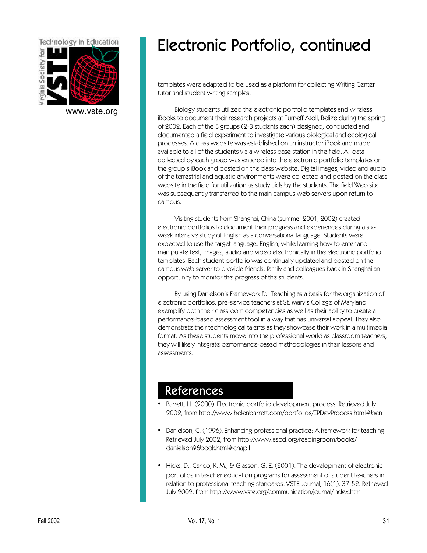

[www.vste.org](http://www.vste.org)

# Electronic Portfolio, continued

templates were adapted to be used as a platform for collecting Writing Center tutor and student writing samples.

Biology students utilized the electronic portfolio templates and wireless iBooks to document their research projects at Turneff Atoll, Belize during the spring of 2002. Each of the 5 groups (2-3 students each) designed, conducted and documented a field experiment to investigate various biological and ecological processes. A class website was established on an instructor iBook and made available to all of the students via a wireless base station in the field. All data collected by each group was entered into the electronic portfolio templates on the group's iBook and posted on the class website. Digital images, video and audio of the terrestrial and aquatic environments were collected and posted on the class website in the field for utilization as study aids by the students. The field Web site was subsequently transferred to the main campus web servers upon return to campus.

Visiting students from Shanghai, China (summer 2001, 2002) created electronic portfolios to document their progress and experiences during a sixweek intensive study of English as a conversational language. Students were expected to use the target language, English, while learning how to enter and manipulate text, images, audio and video electronically in the electronic portfolio templates. Each student portfolio was continually updated and posted on the campus web server to provide friends, family and colleagues back in Shanghai an opportunity to monitor the progress of the students.

By using Danielson's Framework for Teaching as a basis for the organization of electronic portfolios, pre-service teachers at St. Mary's College of Maryland exemplify both their classroom competencies as well as their ability to create a performance-based assessment tool in a way that has universal appeal. They also demonstrate their technological talents as they showcase their work in a multimedia format. As these students move into the professional world as classroom teachers, they will likely integrate performance-based methodologies in their lessons and assessments.

## References

- Barrett, H. (2000). Electronic portfolio development process. Retrieved July [2002, from http://www.helenbarrett.com/portfolios/EPDevProcess.html#ben](http://www.helenbarrett.com/portfolios/EPDevProcess.html#ben)
- [Danielson, C. \(1996\). Enhancing professional practice: A framework for teaching.](http://www.ascd.org/readingroom/books/danielson96book.html#chap1) Retrieved July 2002, from http://www.ascd.org/readingroom/books/ danielson96book.html#chap1
- Hicks, D., Carico, K. M., & Glasson, G. E. (2001). The development of electronic portfolios in teacher education programs for assessment of student teachers in [relation to professional teaching standards. VSTE Journal, 16\(1\), 37-52. Retrieved](http://www.vste.org/communication/journal/index.html) July 2002, from http://www.vste.org/communication/journal/index.html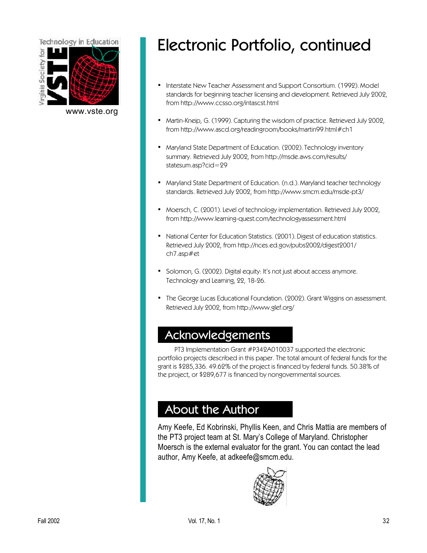

[www.vste.org](http://www.vste.org)

# Electronic Portfolio, continued

- Interstate New Teacher Assessment and Support Consortium. (1992). Model [standards for beginning teacher licensing and development. Retrieved July 2002,](http://www.ccsso.org/intascst.html) from http://www.ccsso.org/intascst.html
- [Martin-Kneip, G. \(1999\). Capturing the wisdom of practice. Retrieved July 2002,](http://www.ascd.org/readingroom/books/martin99.html#ch1) from http://www.ascd.org/readingroom/books/martin99.html#ch1
- [Maryland State Department of Education. \(2002\). Technology inventory](http://msde.aws.com/results/statesum.asp?cid=29) summary. Retrieved July 2002, from http://msde.aws.com/results/ statesum.asp?cid=29
- [Maryland State Department of Education. \(n.d.\). Maryland teacher technology](http://www.smcm.edu/msde-pt3/) standards. Retrieved July 2002, from http://www.smcm.edu/msde-pt3/
- [Moersch, C. \(2001\). Level of technology implementation. Retrieved July 2002,](http://www.learning-quest.com/technologyassessment.html) from http://www.learning-quest.com/technologyassessment.html
- [National Center for Education Statistics. \(2001\). Digest of education statistics.](http://nces.ed.gov/pubs2002/digest2001/ch7.asp#et) Retrieved July 2002, from http://nces.ed.gov/pubs2002/digest2001/ ch7.asp#et
- Solomon, G. (2002). Digital equity: It's not just about access anymore. Technology and Learning, 22, 18-26.
- [The George Lucas Educational Foundation. \(2002\). Grant Wiggins on assessment.](http://www.glef.org/) Retrieved July 2002, from http://www.glef.org/

## Acknowledgements

PT3 Implementation Grant #P342A010037 supported the electronic portfolio projects described in this paper. The total amount of federal funds for the grant is \$285,336. 49.62% of the project is financed by federal funds. 50.38% of the project, or \$289,677 is financed by nongovernmental sources.

## About the Author

Amy Keefe, Ed Kobrinski, Phyllis Keen, and Chris Mattia are members of the PT3 project team at St. Mary's College of Maryland. Christopher Moersch is the external evaluator for the grant. You can contact the lead author, Amy Keefe, at adkeefe@smcm.edu.

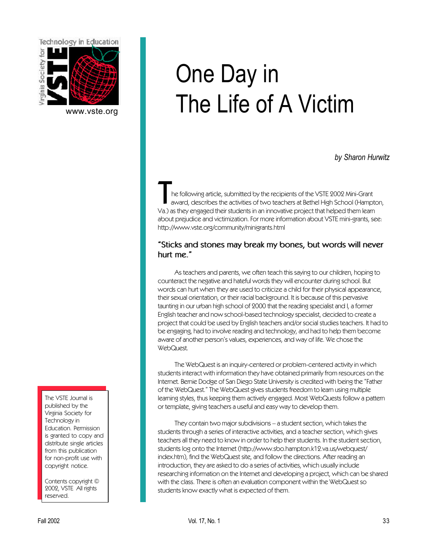<span id="page-32-0"></span>

[www.vste.org](http://www.vste.org)

# One Day in The Life of A Victim

*by Sharon Hurwitz*

The following article, submitted by the recipients of the VSTE 2002 Mini-Grant<br>The award, describes the activities of two teachers at Bethel High School (Hampton)<br>Va.) as they engaged their students in an innovative projec he following article, submitted by the recipients of the VSTE 2002 Mini-Grant award, describes the activities of two teachers at Bethel High School (Hampton, about prejudice and victimization. For more information about VSTE mini-grants, see: <http://www.vste.org/community/minigrants.html>

#### **"Sticks and stones may break my bones, but words will never hurt me."**

As teachers and parents, we often teach this saying to our children, hoping to counteract the negative and hateful words they will encounter during school. But words can hurt when they are used to criticize a child for their physical appearance, their sexual orientation, or their racial background. It is because of this pervasive taunting in our urban high school of 2000 that the reading specialist and I, a former English teacher and now school-based technology specialist, decided to create a project that could be used by English teachers and/or social studies teachers. It had to be engaging, had to involve reading and technology, and had to help them become aware of another person's values, experiences, and way of life. We chose the WebQuest.

The WebQuest is an inquiry-centered or problem-centered activity in which students interact with information they have obtained primarily from resources on the Internet. Bernie Dodge of San Diego State University is credited with being the "Father of the WebQuest." The WebQuest gives students freedom to learn using multiple learning styles, thus keeping them actively engaged. Most WebQuests follow a pattern or template, giving teachers a useful and easy way to develop them.

They contain two major subdivisions – a student section, which takes the students through a series of interactive activities, and a teacher section, which gives teachers all they need to know in order to help their students. In the student section, [students log onto the Internet \(http://www.sbo.hampton.k12.va.us/webquest/](http://www.sbo.hampton.k12.va.us/webquest/index.htm) index.htm), find the WebQuest site, and follow the directions. After reading an introduction, they are asked to do a series of activities, which usually include researching information on the Internet and developing a project, which can be shared with the class. There is often an evaluation component within the WebQuest so students know exactly what is expected of them.

The VSTE Journal is published by the Virginia Society for Technology in Education. Permission is granted to copy and distribute single articles from this publication for non-profit use with copyright notice.

Contents copyright © 2002, VSTE All rights reserved.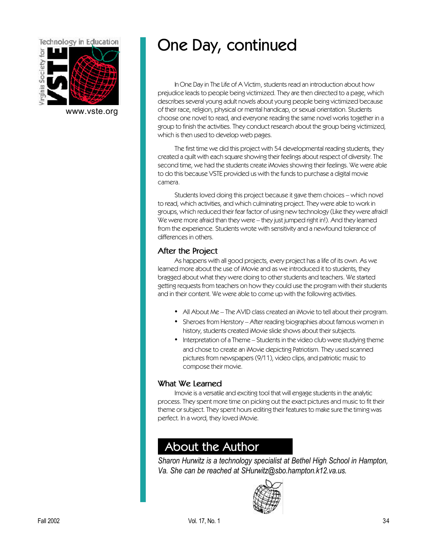

[www.vste.org](http://www.vste.org)

# One Day, continued

In One Day in The Life of A Victim, students read an introduction about how prejudice leads to people being victimized. They are then directed to a page, which describes several young adult novels about young people being victimized because of their race, religion, physical or mental handicap, or sexual orientation. Students choose one novel to read, and everyone reading the same novel works together in a group to finish the activities. They conduct research about the group being victimized, which is then used to develop web pages.

The first time we did this project with 54 developmental reading students, they created a quilt with each square showing their feelings about respect of diversity. The second time, we had the students create iMovies showing their feelings. We were able to do this because VSTE provided us with the funds to purchase a digital movie camera.

Students loved doing this project because it gave them choices – which novel to read, which activities, and which culminating project. They were able to work in groups, which reduced their fear factor of using new technology (Like they were afraid! We were more afraid than they were – they just jumped right in!). And they learned from the experience. Students wrote with sensitivity and a newfound tolerance of differences in others.

#### **After the Project**

As happens with all good projects, every project has a life of its own. As we learned more about the use of iMovie and as we introduced it to students, they bragged about what they were doing to other students and teachers. We started getting requests from teachers on how they could use the program with their students and in their content. We were able to come up with the following activities.

- All About Me The AVID class created an iMovie to tell about their program.
- Sheroes from Herstory After reading biographies about famous women in history, students created iMovie slide shows about their subjects.
- Interpretation of a Theme Students in the video club were studying theme and chose to create an iMovie depicting Patriotism. They used scanned pictures from newspapers (9/11), video clips, and patriotic music to compose their movie.

### **What We Learned**

Imovie is a versatile and exciting tool that will engage students in the analytic process. They spent more time on picking out the exact pictures and music to fit their theme or subject. They spent hours editing their features to make sure the timing was perfect. In a word, they loved iMovie.

## About the Author

*Sharon Hurwitz is a technology specialist at Bethel High School in Hampton, Va. She can be reached at SHurwitz@sbo.hampton.k12.va.us.*

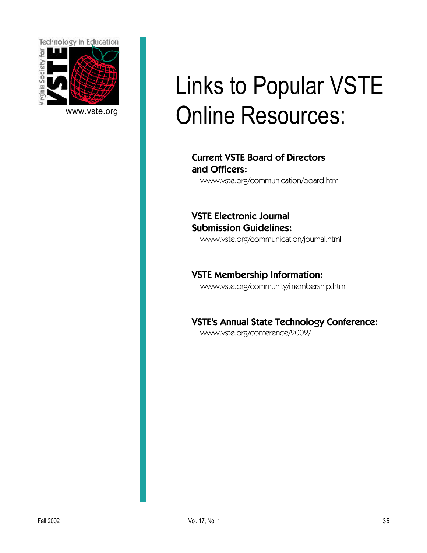

[www.vste.org](http://www.vste.org)

# Links to Popular VSTE Online Resources:

### [Current VSTE Board of Directors](http://www.vste.org/communication/board.html) and Officers:

www.vste.org/communication/board.html

VSTE Electronic Journal Submission Guidelines:

[www.vste.org/communication/journal.html](http://www.vste.org/communication/journal.html)

[VSTE Membership Information:](http://www.vste.org/community/membership.html) www.vste.org/community/membership.html

[VSTE's Annual State Technology Conference:](http://www.vste.org/conference/2002/)

www.vste.org/conference/2002/